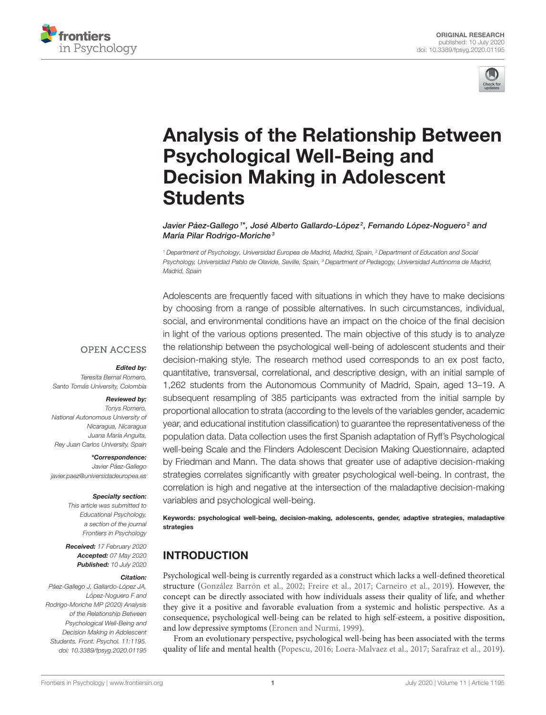



# [Analysis of the Relationship Between](https://www.frontiersin.org/articles/10.3389/fpsyg.2020.01195/full) Psychological Well-Being and Decision Making in Adolescent **Students**

[Javier Páez-Gallego](http://loop.frontiersin.org/people/788553/overview) <sup>1</sup>\*, José Alberto Gallardo-López<sup>2</sup>, Fernando López-Noguero<sup>2</sup> and María Pilar Rodrigo-Moriche<sup>3</sup>

<sup>1</sup> Department of Psychology, Universidad Europea de Madrid, Madrid, Spain, <sup>2</sup> Department of Education and Social Psychology, Universidad Pablo de Olavide, Seville, Spain, <sup>3</sup> Department of Pedagogy, Universidad Autónoma de Madrid, Madrid, Spain

Adolescents are frequently faced with situations in which they have to make decisions by choosing from a range of possible alternatives. In such circumstances, individual, social, and environmental conditions have an impact on the choice of the final decision in light of the various options presented. The main objective of this study is to analyze the relationship between the psychological well-being of adolescent students and their decision-making style. The research method used corresponds to an ex post facto, quantitative, transversal, correlational, and descriptive design, with an initial sample of 1,262 students from the Autonomous Community of Madrid, Spain, aged 13–19. A subsequent resampling of 385 participants was extracted from the initial sample by proportional allocation to strata (according to the levels of the variables gender, academic year, and educational institution classification) to guarantee the representativeness of the population data. Data collection uses the first Spanish adaptation of Ryff's Psychological well-being Scale and the Flinders Adolescent Decision Making Questionnaire, adapted by Friedman and Mann. The data shows that greater use of adaptive decision-making strategies correlates significantly with greater psychological well-being. In contrast, the correlation is high and negative at the intersection of the maladaptive decision-making variables and psychological well-being.

Keywords: psychological well-being, decision-making, adolescents, gender, adaptive strategies, maladaptive strategies

# INTRODUCTION

Psychological well-being is currently regarded as a construct which lacks a well-defined theoretical structure [\(González Barrón et al., 2002;](#page-11-0) [Freire et al., 2017;](#page-11-1) [Carneiro et al., 2019\)](#page-11-2). However, the concept can be directly associated with how individuals assess their quality of life, and whether they give it a positive and favorable evaluation from a systemic and holistic perspective. As a consequence, psychological well-being can be related to high self-esteem, a positive disposition, and low depressive symptoms [\(Eronen and Nurmi, 1999\)](#page-11-3).

From an evolutionary perspective, psychological well-being has been associated with the terms quality of life and mental health [\(Popescu, 2016;](#page-11-4) [Loera-Malvaez et al., 2017;](#page-11-5) [Sarafraz et al., 2019\)](#page-12-0).

#### **OPEN ACCESS**

#### Edited by:

Teresita Bernal Romero, Santo Tomás University, Colombia

#### Reviewed by:

Tonys Romero, National Autonomous University of Nicaragua, Nicaragua Juana María Anguita, Rey Juan Carlos University, Spain

\*Correspondence: Javier Páez-Gallego [javier.paez@universidadeuropea.es](mailto:javier.paez@universidadeuropea.es)

#### Specialty section:

This article was submitted to Educational Psychology, a section of the journal Frontiers in Psychology

Received: 17 February 2020 Accepted: 07 May 2020 Published: 10 July 2020

#### Citation:

Páez-Gallego J, Gallardo-López JA, López-Noguero F and Rodrigo-Moriche MP (2020) Analysis of the Relationship Between Psychological Well-Being and Decision Making in Adolescent Students. Front. Psychol. 11:1195. doi: [10.3389/fpsyg.2020.01195](https://doi.org/10.3389/fpsyg.2020.01195)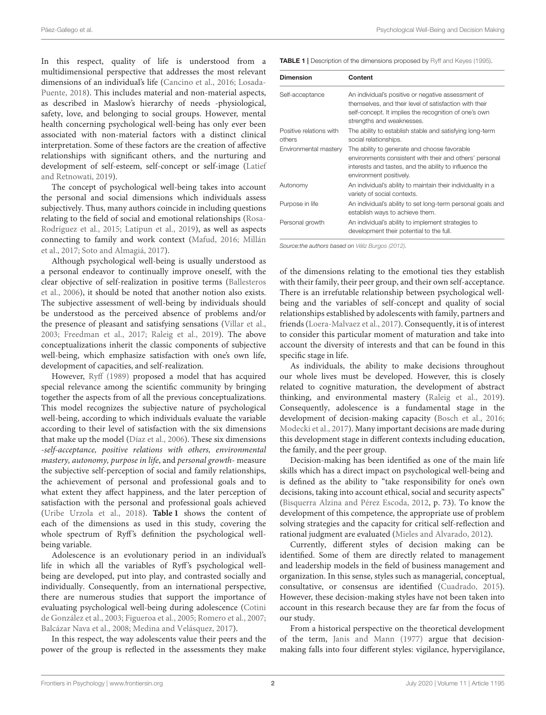In this respect, quality of life is understood from a multidimensional perspective that addresses the most relevant dimensions of an individual's life [\(Cancino et al., 2016;](#page-11-6) Losada-Puente, [2018\)](#page-11-7). This includes material and non-material aspects, as described in Maslow's hierarchy of needs -physiological, safety, love, and belonging to social groups. However, mental health concerning psychological well-being has only ever been associated with non-material factors with a distinct clinical interpretation. Some of these factors are the creation of affective relationships with significant others, and the nurturing and development of self-esteem, self-concept or self-image (Latief and Retnowati, [2019\)](#page-11-8).

The concept of psychological well-being takes into account the personal and social dimensions which individuals assess subjectively. Thus, many authors coincide in including questions relating to the field of social and emotional relationships (Rosa-Rodríguez et al., [2015;](#page-11-9) [Latipun et al., 2019\)](#page-11-10), as well as aspects connecting to family and work context [\(Mafud, 2016;](#page-11-11) Millán et al., [2017;](#page-11-12) [Soto and Almagiá, 2017\)](#page-12-1).

Although psychological well-being is usually understood as a personal endeavor to continually improve oneself, with the clear objective of self-realization in positive terms (Ballesteros et al., [2006\)](#page-10-0), it should be noted that another notion also exists. The subjective assessment of well-being by individuals should be understood as the perceived absence of problems and/or the presence of pleasant and satisfying sensations [\(Villar et al.,](#page-12-2) [2003;](#page-12-2) [Freedman et al., 2017;](#page-11-13) [Raleig et al., 2019\)](#page-11-14). The above conceptualizations inherit the classic components of subjective well-being, which emphasize satisfaction with one's own life, development of capacities, and self-realization.

However, [Ryff \(1989\)](#page-12-3) proposed a model that has acquired special relevance among the scientific community by bringing together the aspects from of all the previous conceptualizations. This model recognizes the subjective nature of psychological well-being, according to which individuals evaluate the variable according to their level of satisfaction with the six dimensions that make up the model [\(Díaz et al., 2006\)](#page-11-15). These six dimensions -self-acceptance, positive relations with others, environmental mastery, autonomy, purpose in life, and personal growth- measure the subjective self-perception of social and family relationships, the achievement of personal and professional goals and to what extent they affect happiness, and the later perception of satisfaction with the personal and professional goals achieved [\(Uribe Urzola et al., 2018\)](#page-12-4). **[Table 1](#page-1-0)** shows the content of each of the dimensions as used in this study, covering the whole spectrum of Ryff's definition the psychological wellbeing variable.

Adolescence is an evolutionary period in an individual's life in which all the variables of Ryff's psychological wellbeing are developed, put into play, and contrasted socially and individually. Consequently, from an international perspective, there are numerous studies that support the importance of evaluating psychological well-being during adolescence (Cotini de González et al., [2003;](#page-11-16) [Figueroa et al., 2005;](#page-11-17) [Romero et al.,](#page-11-18) [2007;](#page-11-18) [Balcázar Nava et al., 2008;](#page-10-1) [Medina and Velásquez, 2017\)](#page-11-19).

In this respect, the way adolescents value their peers and the power of the group is reflected in the assessments they make <span id="page-1-0"></span>TABLE 1 | Description of the dimensions proposed by [Ryff and Keyes \(1995\)](#page-12-5).

| <b>Dimension</b>                  | Content                                                                                                                                                                                            |
|-----------------------------------|----------------------------------------------------------------------------------------------------------------------------------------------------------------------------------------------------|
| Self-acceptance                   | An individual's positive or negative assessment of<br>themselves, and their level of satisfaction with their<br>self-concept. It implies the recognition of one's own<br>strengths and weaknesses. |
| Positive relations with<br>others | The ability to establish stable and satisfying long-term<br>social relationships.                                                                                                                  |
| Environmental mastery             | The ability to generate and choose favorable<br>environments consistent with their and others' personal<br>interests and tastes, and the ability to influence the<br>environment positively.       |
| Autonomy                          | An individual's ability to maintain their individuality in a<br>variety of social contexts.                                                                                                        |
| Purpose in life                   | An individual's ability to set long-term personal goals and<br>establish ways to achieve them.                                                                                                     |
| Personal growth                   | An individual's ability to implement strategies to<br>development their potential to the full.                                                                                                     |

Source: the authors based on [Véliz Burgos \(2012\)](#page-12-6).

of the dimensions relating to the emotional ties they establish with their family, their peer group, and their own self-acceptance. There is an irrefutable relationship between psychological wellbeing and the variables of self-concept and quality of social relationships established by adolescents with family, partners and friends [\(Loera-Malvaez et al., 2017\)](#page-11-5). Consequently, it is of interest to consider this particular moment of maturation and take into account the diversity of interests and that can be found in this specific stage in life.

As individuals, the ability to make decisions throughout our whole lives must be developed. However, this is closely related to cognitive maturation, the development of abstract thinking, and environmental mastery [\(Raleig et al., 2019\)](#page-11-14). Consequently, adolescence is a fundamental stage in the development of decision-making capacity [\(Bosch et al., 2016;](#page-11-20) [Modecki et al., 2017\)](#page-11-21). Many important decisions are made during this development stage in different contexts including education, the family, and the peer group.

Decision-making has been identified as one of the main life skills which has a direct impact on psychological well-being and is defined as the ability to "take responsibility for one's own decisions, taking into account ethical, social and security aspects" [\(Bisquerra Alzina and Pérez Escoda, 2012,](#page-11-22) p. 73). To know the development of this competence, the appropriate use of problem solving strategies and the capacity for critical self-reflection and rational judgment are evaluated [\(Mieles and Alvarado, 2012\)](#page-11-23).

Currently, different styles of decision making can be identified. Some of them are directly related to management and leadership models in the field of business management and organization. In this sense, styles such as managerial, conceptual, consultative, or consensus are identified [\(Cuadrado, 2015\)](#page-11-24). However, these decision-making styles have not been taken into account in this research because they are far from the focus of our study.

From a historical perspective on the theoretical development of the term, [Janis and Mann \(1977\)](#page-11-25) argue that decisionmaking falls into four different styles: vigilance, hypervigilance,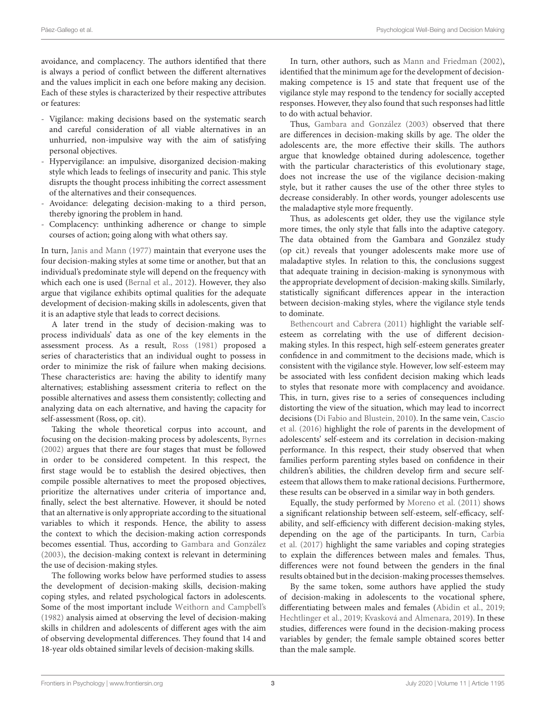avoidance, and complacency. The authors identified that there is always a period of conflict between the different alternatives and the values implicit in each one before making any decision. Each of these styles is characterized by their respective attributes or features:

- Vigilance: making decisions based on the systematic search and careful consideration of all viable alternatives in an unhurried, non-impulsive way with the aim of satisfying personal objectives.
- Hypervigilance: an impulsive, disorganized decision-making style which leads to feelings of insecurity and panic. This style disrupts the thought process inhibiting the correct assessment of the alternatives and their consequences.
- Avoidance: delegating decision-making to a third person, thereby ignoring the problem in hand.
- Complacency: unthinking adherence or change to simple courses of action; going along with what others say.

In turn, [Janis and Mann \(1977\)](#page-11-25) maintain that everyone uses the four decision-making styles at some time or another, but that an individual's predominate style will depend on the frequency with which each one is used [\(Bernal et al., 2012\)](#page-10-2). However, they also argue that vigilance exhibits optimal qualities for the adequate development of decision-making skills in adolescents, given that it is an adaptive style that leads to correct decisions.

A later trend in the study of decision-making was to process individuals' data as one of the key elements in the assessment process. As a result, [Ross \(1981\)](#page-12-7) proposed a series of characteristics that an individual ought to possess in order to minimize the risk of failure when making decisions. These characteristics are: having the ability to identify many alternatives; establishing assessment criteria to reflect on the possible alternatives and assess them consistently; collecting and analyzing data on each alternative, and having the capacity for self-assessment (Ross, op. cit).

Taking the whole theoretical corpus into account, and focusing on the decision-making process by adolescents, [Byrnes](#page-11-26) [\(2002\)](#page-11-26) argues that there are four stages that must be followed in order to be considered competent. In this respect, the first stage would be to establish the desired objectives, then compile possible alternatives to meet the proposed objectives, prioritize the alternatives under criteria of importance and, finally, select the best alternative. However, it should be noted that an alternative is only appropriate according to the situational variables to which it responds. Hence, the ability to assess the context to which the decision-making action corresponds becomes essential. Thus, according to [Gambara and González](#page-11-27) [\(2003\)](#page-11-27), the decision-making context is relevant in determining the use of decision-making styles.

The following works below have performed studies to assess the development of decision-making skills, decision-making coping styles, and related psychological factors in adolescents. Some of the most important include [Weithorn and Campbell's](#page-12-8) [\(1982\)](#page-12-8) analysis aimed at observing the level of decision-making skills in children and adolescents of different ages with the aim of observing developmental differences. They found that 14 and 18-year olds obtained similar levels of decision-making skills.

In turn, other authors, such as [Mann and Friedman \(2002\)](#page-11-28), identified that the minimum age for the development of decisionmaking competence is 15 and state that frequent use of the vigilance style may respond to the tendency for socially accepted responses. However, they also found that such responses had little to do with actual behavior.

Thus, [Gambara and González \(2003\)](#page-11-27) observed that there are differences in decision-making skills by age. The older the adolescents are, the more effective their skills. The authors argue that knowledge obtained during adolescence, together with the particular characteristics of this evolutionary stage, does not increase the use of the vigilance decision-making style, but it rather causes the use of the other three styles to decrease considerably. In other words, younger adolescents use the maladaptive style more frequently.

Thus, as adolescents get older, they use the vigilance style more times, the only style that falls into the adaptive category. The data obtained from the Gambara and González study (op cit.) reveals that younger adolescents make more use of maladaptive styles. In relation to this, the conclusions suggest that adequate training in decision-making is synonymous with the appropriate development of decision-making skills. Similarly, statistically significant differences appear in the interaction between decision-making styles, where the vigilance style tends to dominate.

[Bethencourt and Cabrera \(2011\)](#page-11-29) highlight the variable selfesteem as correlating with the use of different decisionmaking styles. In this respect, high self-esteem generates greater confidence in and commitment to the decisions made, which is consistent with the vigilance style. However, low self-esteem may be associated with less confident decision making which leads to styles that resonate more with complacency and avoidance. This, in turn, gives rise to a series of consequences including distorting the view of the situation, which may lead to incorrect decisions [\(Di Fabio and Blustein, 2010\)](#page-11-30). In the same vein, Cascio et al. [\(2016\)](#page-11-31) highlight the role of parents in the development of adolescents' self-esteem and its correlation in decision-making performance. In this respect, their study observed that when families perform parenting styles based on confidence in their children's abilities, the children develop firm and secure selfesteem that allows them to make rational decisions. Furthermore, these results can be observed in a similar way in both genders.

Equally, the study performed by [Moreno et al. \(2011\)](#page-11-32) shows a significant relationship between self-esteem, self-efficacy, selfability, and self-efficiency with different decision-making styles, depending on the age of the participants. In turn, Carbia et al. [\(2017\)](#page-11-33) highlight the same variables and coping strategies to explain the differences between males and females. Thus, differences were not found between the genders in the final results obtained but in the decision-making processes themselves.

By the same token, some authors have applied the study of decision-making in adolescents to the vocational sphere, differentiating between males and females [\(Abidin et al., 2019;](#page-10-3) [Hechtlinger et al., 2019;](#page-11-34) [Kvasková and Almenara, 2019\)](#page-11-35). In these studies, differences were found in the decision-making process variables by gender; the female sample obtained scores better than the male sample.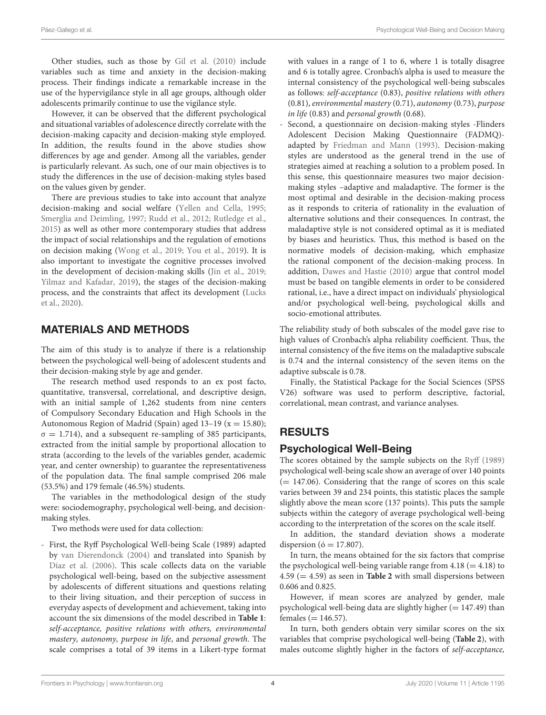Other studies, such as those by [Gil et al. \(2010\)](#page-11-36) include variables such as time and anxiety in the decision-making process. Their findings indicate a remarkable increase in the use of the hypervigilance style in all age groups, although older adolescents primarily continue to use the vigilance style.

However, it can be observed that the different psychological and situational variables of adolescence directly correlate with the decision-making capacity and decision-making style employed. In addition, the results found in the above studies show differences by age and gender. Among all the variables, gender is particularly relevant. As such, one of our main objectives is to study the differences in the use of decision-making styles based on the values given by gender.

There are previous studies to take into account that analyze decision-making and social welfare [\(Yellen and Cella, 1995;](#page-12-9) [Smerglia and Deimling, 1997;](#page-12-10) [Rudd et al., 2012;](#page-12-11) [Rutledge et al.,](#page-12-12) [2015\)](#page-12-12) as well as other more contemporary studies that address the impact of social relationships and the regulation of emotions on decision making [\(Wong et al., 2019;](#page-12-13) [You et al., 2019\)](#page-12-14). It is also important to investigate the cognitive processes involved in the development of decision-making skills [\(Jin et al., 2019;](#page-11-37) [Yilmaz and Kafadar, 2019\)](#page-12-15), the stages of the decision-making process, and the constraints that affect its development (Lucks et al., [2020\)](#page-11-38).

#### MATERIALS AND METHODS

The aim of this study is to analyze if there is a relationship between the psychological well-being of adolescent students and their decision-making style by age and gender.

The research method used responds to an ex post facto, quantitative, transversal, correlational, and descriptive design, with an initial sample of 1,262 students from nine centers of Compulsory Secondary Education and High Schools in the Autonomous Region of Madrid (Spain) aged  $13-19$  (x = 15.80);  $\sigma = 1.714$ ), and a subsequent re-sampling of 385 participants, extracted from the initial sample by proportional allocation to strata (according to the levels of the variables gender, academic year, and center ownership) to guarantee the representativeness of the population data. The final sample comprised 206 male (53.5%) and 179 female (46.5%) students.

The variables in the methodological design of the study were: sociodemography, psychological well-being, and decisionmaking styles.

Two methods were used for data collection:

- First, the Ryff Psychological Well-being Scale (1989) adapted by [van Dierendonck \(2004\)](#page-12-16) and translated into Spanish by [Díaz et al. \(2006\)](#page-11-15). This scale collects data on the variable psychological well-being, based on the subjective assessment by adolescents of different situations and questions relating to their living situation, and their perception of success in everyday aspects of development and achievement, taking into account the six dimensions of the model described in **[Table 1](#page-1-0)**: self-acceptance, positive relations with others, environmental mastery, autonomy, purpose in life, and personal growth. The scale comprises a total of 39 items in a Likert-type format with values in a range of 1 to 6, where 1 is totally disagree and 6 is totally agree. Cronbach's alpha is used to measure the internal consistency of the psychological well-being subscales as follows: self-acceptance (0.83), positive relations with others (0.81), environmental mastery (0.71), autonomy (0.73), purpose in life (0.83) and personal growth (0.68).

Second, a questionnaire on decision-making styles -Flinders Adolescent Decision Making Questionnaire (FADMQ) adapted by [Friedman and Mann \(1993\)](#page-11-39). Decision-making styles are understood as the general trend in the use of strategies aimed at reaching a solution to a problem posed. In this sense, this questionnaire measures two major decisionmaking styles –adaptive and maladaptive. The former is the most optimal and desirable in the decision-making process as it responds to criteria of rationality in the evaluation of alternative solutions and their consequences. In contrast, the maladaptive style is not considered optimal as it is mediated by biases and heuristics. Thus, this method is based on the normative models of decision-making, which emphasize the rational component of the decision-making process. In addition, [Dawes and Hastie \(2010\)](#page-11-40) argue that control model must be based on tangible elements in order to be considered rational, i.e., have a direct impact on individuals' physiological and/or psychological well-being, psychological skills and socio-emotional attributes.

The reliability study of both subscales of the model gave rise to high values of Cronbach's alpha reliability coefficient. Thus, the internal consistency of the five items on the maladaptive subscale is 0.74 and the internal consistency of the seven items on the adaptive subscale is 0.78.

Finally, the Statistical Package for the Social Sciences (SPSS V26) software was used to perform descriptive, factorial, correlational, mean contrast, and variance analyses.

# RESULTS

#### Psychological Well-Being

The scores obtained by the sample subjects on the [Ryff \(1989\)](#page-12-3) psychological well-being scale show an average of over 140 points  $(= 147.06)$ . Considering that the range of scores on this scale varies between 39 and 234 points, this statistic places the sample slightly above the mean score (137 points). This puts the sample subjects within the category of average psychological well-being according to the interpretation of the scores on the scale itself.

In addition, the standard deviation shows a moderate dispersion ( $\acute{o}$  = 17.807).

In turn, the means obtained for the six factors that comprise the psychological well-being variable range from  $4.18 (= 4.18)$  to 4.59 (= 4.59) as seen in **[Table 2](#page-4-0)** with small dispersions between 0.606 and 0.825.

However, if mean scores are analyzed by gender, male psychological well-being data are slightly higher  $(= 147.49)$  than females ( $= 146.57$ ).

In turn, both genders obtain very similar scores on the six variables that comprise psychological well-being (**[Table 2](#page-4-0)**), with males outcome slightly higher in the factors of self-acceptance,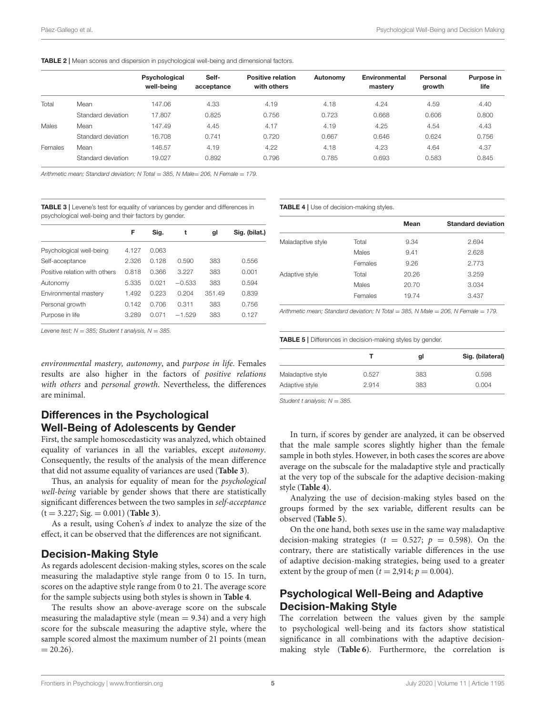<span id="page-4-0"></span>

|         |                    | Psychological<br>well-being | Self-<br>acceptance | <b>Positive relation</b><br>with others | Autonomy | Environmental<br>mastery | Personal<br>growth | Purpose in<br>life |
|---------|--------------------|-----------------------------|---------------------|-----------------------------------------|----------|--------------------------|--------------------|--------------------|
| Total   | Mean               | 147.06                      | 4.33                | 4.19                                    | 4.18     | 4.24                     | 4.59               | 4.40               |
|         | Standard deviation | 17.807                      | 0.825               | 0.756                                   | 0.723    | 0.668                    | 0.606              | 0.800              |
| Males   | Mean               | 147.49                      | 4.45                | 4.17                                    | 4.19     | 4.25                     | 4.54               | 4.43               |
|         | Standard deviation | 16.708                      | 0.741               | 0.720                                   | 0.667    | 0.646                    | 0.624              | 0.756              |
| Females | Mean               | 146.57                      | 4.19                | 4.22                                    | 4.18     | 4.23                     | 4.64               | 4.37               |
|         | Standard deviation | 19.027                      | 0.892               | 0.796                                   | 0.785    | 0.693                    | 0.583              | 0.845              |

Arithmetic mean: Standard deviation: N Total = 385, N Male= 206, N Female = 179.

<span id="page-4-1"></span>TABLE 3 | Levene's test for equality of variances by gender and differences in psychological well-being and their factors by gender.

|                               | F     | Sig.  | t        | gl     | Sig. (bilat.) |
|-------------------------------|-------|-------|----------|--------|---------------|
| Psychological well-being      | 4.127 | 0.063 |          |        |               |
| Self-acceptance               | 2.326 | 0.128 | 0.590    | 383    | 0.556         |
| Positive relation with others | 0.818 | 0.366 | 3.227    | 383    | 0.001         |
| Autonomy                      | 5.335 | 0.021 | $-0.533$ | 383    | 0.594         |
| Environmental mastery         | 1.492 | 0.223 | 0.204    | 351.49 | 0.839         |
| Personal growth               | 0.142 | 0.706 | 0.311    | 383    | 0.756         |
| Purpose in life               | 3.289 | 0.071 | $-1.529$ | 383    | 0.127         |

Levene test;  $N = 385$ ; Student t analysis,  $N = 385$ .

environmental mastery, autonomy, and purpose in life. Females results are also higher in the factors of positive relations with others and personal growth. Nevertheless, the differences are minimal.

# Differences in the Psychological Well-Being of Adolescents by Gender

First, the sample homoscedasticity was analyzed, which obtained equality of variances in all the variables, except autonomy. Consequently, the results of the analysis of the mean difference that did not assume equality of variances are used (**[Table 3](#page-4-1)**).

Thus, an analysis for equality of mean for the psychological well-being variable by gender shows that there are statistically significant differences between the two samples in self-acceptance (t = 3.227; Sig. = 0.001) (**[Table 3](#page-4-1)**).

As a result, using Cohen's d index to analyze the size of the effect, it can be observed that the differences are not significant.

#### Decision-Making Style

As regards adolescent decision-making styles, scores on the scale measuring the maladaptive style range from 0 to 15. In turn, scores on the adaptive style range from 0 to 21. The average score for the sample subjects using both styles is shown in **[Table 4](#page-4-2)**.

The results show an above-average score on the subscale measuring the maladaptive style (mean  $= 9.34$ ) and a very high score for the subscale measuring the adaptive style, where the sample scored almost the maximum number of 21 points (mean  $= 20.26$ .

<span id="page-4-2"></span>TABLE 4 | Use of decision-making styles.

|                   |         | Mean  | <b>Standard deviation</b> |
|-------------------|---------|-------|---------------------------|
| Maladaptive style | Total   | 9.34  | 2.694                     |
|                   | Males   | 9.41  | 2.628                     |
|                   | Females | 9.26  | 2.773                     |
| Adaptive style    | Total   | 20.26 | 3.259                     |
|                   | Males   | 20.70 | 3.034                     |
|                   | Females | 19.74 | 3.437                     |

Arithmetic mean: Standard deviation: N Total = 385, N Male =  $206$ , N Female = 179.

<span id="page-4-3"></span>TABLE 5 | Differences in decision-making styles by gender.

|                   |       | gl  | Sig. (bilateral) |
|-------------------|-------|-----|------------------|
| Maladaptive style | 0.527 | 383 | 0.598            |
| Adaptive style    | 2.914 | 383 | 0.004            |

Student t analysis;  $N = 385$ .

In turn, if scores by gender are analyzed, it can be observed that the male sample scores slightly higher than the female sample in both styles. However, in both cases the scores are above average on the subscale for the maladaptive style and practically at the very top of the subscale for the adaptive decision-making style (**[Table 4](#page-4-2)**).

Analyzing the use of decision-making styles based on the groups formed by the sex variable, different results can be observed (**[Table 5](#page-4-3)**).

On the one hand, both sexes use in the same way maladaptive decision-making strategies ( $t = 0.527$ ;  $p = 0.598$ ). On the contrary, there are statistically variable differences in the use of adaptive decision-making strategies, being used to a greater extent by the group of men ( $t = 2.914$ ;  $p = 0.004$ ).

#### Psychological Well-Being and Adaptive Decision-Making Style

The correlation between the values given by the sample to psychological well-being and its factors show statistical significance in all combinations with the adaptive decisionmaking style (**[Table 6](#page-5-0)**). Furthermore, the correlation is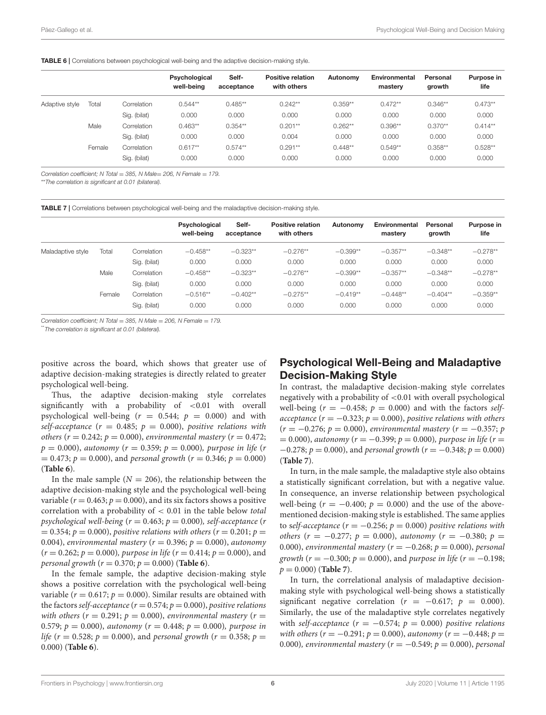<span id="page-5-0"></span>

|                |        |              | Psychological<br>well-being | Self-<br>acceptance | <b>Positive relation</b><br>with others | Autonomy  | <b>Environmental</b><br>mastery | Personal<br>growth | Purpose in<br>life |
|----------------|--------|--------------|-----------------------------|---------------------|-----------------------------------------|-----------|---------------------------------|--------------------|--------------------|
| Adaptive style | Total  | Correlation  | $0.544**$                   | $0.485**$           | $0.242**$                               | $0.359**$ | $0.472**$                       | $0.346**$          | $0.473**$          |
|                |        | Sig. (bilat) | 0.000                       | 0.000               | 0.000                                   | 0.000     | 0.000                           | 0.000              | 0.000              |
|                | Male   | Correlation  | $0.463**$                   | $0.354**$           | $0.201***$                              | $0.262**$ | $0.396**$                       | $0.370**$          | $0.414**$          |
|                |        | Sig. (bilat) | 0.000                       | 0.000               | 0.004                                   | 0.000     | 0.000                           | 0.000              | 0.000              |
|                | Female | Correlation  | $0.617**$                   | $0.574**$           | $0.291**$                               | $0.448**$ | $0.549**$                       | $0.358**$          | $0.528**$          |
|                |        | Sig. (bilat) | 0.000                       | 0.000               | 0.000                                   | 0.000     | 0.000                           | 0.000              | 0.000              |

Correlation coefficient; N Total = 385, N Male= 206, N Female = 179.

\*\*The correlation is significant at 0.01 (bilateral).

<span id="page-5-1"></span>TABLE 7 | Correlations between psychological well-being and the maladaptive decision-making style.

|                   |        |              | Psychological<br>well-being | Self-<br>acceptance | <b>Positive relation</b><br>with others | Autonomy   | Environmental<br>mastery | Personal<br>growth | Purpose in<br>life |
|-------------------|--------|--------------|-----------------------------|---------------------|-----------------------------------------|------------|--------------------------|--------------------|--------------------|
| Maladaptive style | Total  | Correlation  | $-0.458**$                  | $-0.323**$          | $-0.276**$                              | $-0.399**$ | $-0.357**$               | $-0.348**$         | $-0.278**$         |
|                   |        | Sig. (bilat) | 0.000                       | 0.000               | 0.000                                   | 0.000      | 0.000                    | 0.000              | 0.000              |
|                   | Male   | Correlation  | $-0.458**$                  | $-0.323**$          | $-0.276**$                              | $-0.399**$ | $-0.357**$               | $-0.348**$         | $-0.278**$         |
|                   |        | Sig. (bilat) | 0.000                       | 0.000               | 0.000                                   | 0.000      | 0.000                    | 0.000              | 0.000              |
|                   | Female | Correlation  | $-0.516**$                  | $-0.402**$          | $-0.275**$                              | $-0.419**$ | $-0.448**$               | $-0.404**$         | $-0.359**$         |
|                   |        | Sig. (bilat) | 0.000                       | 0.000               | 0.000                                   | 0.000      | 0.000                    | 0.000              | 0.000              |

Correlation coefficient; N Total = 385, N Male = 206, N Female = 179.

\*The correlation is significant at 0.01 (bilateral).

positive across the board, which shows that greater use of adaptive decision-making strategies is directly related to greater psychological well-being.

Thus, the adaptive decision-making style correlates significantly with a probability of <0.01 with overall psychological well-being ( $r = 0.544$ ;  $p = 0.000$ ) and with self-acceptance ( $r = 0.485$ ;  $p = 0.000$ ), positive relations with others ( $r = 0.242$ ;  $p = 0.000$ ), environmental mastery ( $r = 0.472$ ;  $p = 0.000$ ), autonomy ( $r = 0.359$ ;  $p = 0.000$ ), purpose in life (r  $= 0.473$ ;  $p = 0.000$ ), and personal growth ( $r = 0.346$ ;  $p = 0.000$ ) (**[Table 6](#page-5-0)**).

In the male sample  $(N = 206)$ , the relationship between the adaptive decision-making style and the psychological well-being variable ( $r = 0.463$ ;  $p = 0.000$ ), and its six factors shows a positive correlation with a probability of < 0.01 in the table below total psychological well-being ( $r = 0.463$ ;  $p = 0.000$ ), self-acceptance (r  $= 0.354; p = 0.000$ , positive relations with others ( $r = 0.201; p = 0.354$ ) 0.004), environmental mastery ( $r = 0.396$ ;  $p = 0.000$ ), autonomy  $(r = 0.262; p = 0.000)$ , purpose in life  $(r = 0.414; p = 0.000)$ , and personal growth  $(r = 0.370; p = 0.000)$  (**[Table 6](#page-5-0)**).

In the female sample, the adaptive decision-making style shows a positive correlation with the psychological well-being variable ( $r = 0.617$ ;  $p = 0.000$ ). Similar results are obtained with the factors self-acceptance ( $r = 0.574; p = 0.000$ ), positive relations with others ( $r = 0.291$ ;  $p = 0.000$ ), environmental mastery ( $r =$ 0.579;  $p = 0.000$ ), autonomy ( $r = 0.448$ ;  $p = 0.000$ ), purpose in life (r = 0.528; p = 0.000), and personal growth (r = 0.358; p = 0.000) (**[Table 6](#page-5-0)**).

# Psychological Well-Being and Maladaptive Decision-Making Style

In contrast, the maladaptive decision-making style correlates negatively with a probability of <0.01 with overall psychological well-being ( $r = -0.458$ ;  $p = 0.000$ ) and with the factors selfacceptance ( $r = -0.323$ ;  $p = 0.000$ ), positive relations with others  $(r = -0.276; p = 0.000)$ , environmental mastery  $(r = -0.357; p$  $= 0.000$ ), autonomy ( $r = -0.399$ ;  $p = 0.000$ ), purpose in life ( $r =$  $-0.278$ ;  $p = 0.000$ ), and personal growth ( $r = -0.348$ ;  $p = 0.000$ ) (**[Table 7](#page-5-1)**).

In turn, in the male sample, the maladaptive style also obtains a statistically significant correlation, but with a negative value. In consequence, an inverse relationship between psychological well-being ( $r = -0.400$ ;  $p = 0.000$ ) and the use of the abovementioned decision-making style is established. The same applies to self-acceptance ( $r = -0.256$ ;  $p = 0.000$ ) positive relations with others (r = -0.277; p = 0.000), autonomy (r = -0.380; p = 0.000), environmental mastery ( $r = -0.268$ ;  $p = 0.000$ ), personal growth ( $r = -0.300$ ;  $p = 0.000$ ), and purpose in life ( $r = -0.198$ ;  $p = 0.000$  (**[Table 7](#page-5-1)**).

In turn, the correlational analysis of maladaptive decisionmaking style with psychological well-being shows a statistically significant negative correlation ( $r = -0.617$ ;  $p = 0.000$ ). Similarly, the use of the maladaptive style correlates negatively with self-acceptance ( $r = -0.574$ ;  $p = 0.000$ ) positive relations with others ( $r = -0.291$ ;  $p = 0.000$ ), autonomy ( $r = -0.448$ ;  $p =$ 0.000), environmental mastery ( $r = -0.549$ ;  $p = 0.000$ ), personal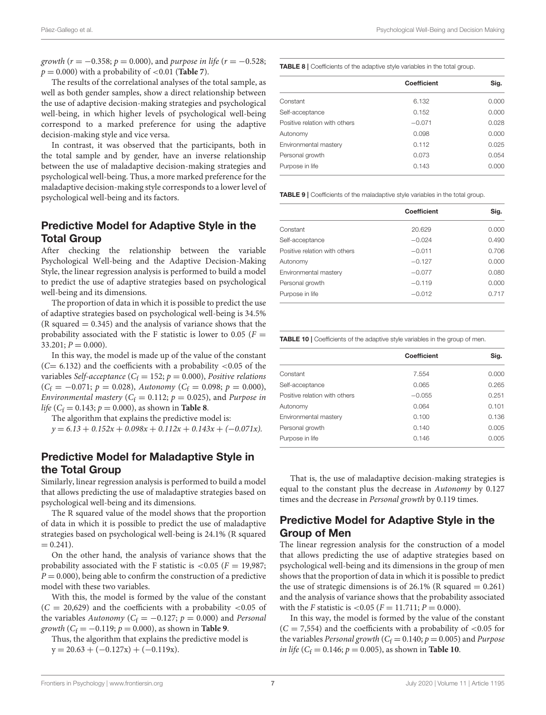growth ( $r = -0.358$ ;  $p = 0.000$ ), and purpose in life ( $r = -0.528$ ;  $p = 0.000$ ) with a probability of  $< 0.01$  (**[Table 7](#page-5-1)**).

The results of the correlational analyses of the total sample, as well as both gender samples, show a direct relationship between the use of adaptive decision-making strategies and psychological well-being, in which higher levels of psychological well-being correspond to a marked preference for using the adaptive decision-making style and vice versa.

In contrast, it was observed that the participants, both in the total sample and by gender, have an inverse relationship between the use of maladaptive decision-making strategies and psychological well-being. Thus, a more marked preference for the maladaptive decision-making style corresponds to a lower level of psychological well-being and its factors.

# Predictive Model for Adaptive Style in the Total Group

After checking the relationship between the variable Psychological Well-being and the Adaptive Decision-Making Style, the linear regression analysis is performed to build a model to predict the use of adaptive strategies based on psychological well-being and its dimensions.

The proportion of data in which it is possible to predict the use of adaptive strategies based on psychological well-being is 34.5%  $(R \text{ squared} = 0.345)$  and the analysis of variance shows that the probability associated with the F statistic is lower to 0.05 ( $F =$  $33.201; P = 0.000$ .

In this way, the model is made up of the value of the constant  $(C= 6.132)$  and the coefficients with a probability <0.05 of the variables Self-acceptance ( $C_f = 152$ ;  $p = 0.000$ ), Positive relations  $(C_f = -0.071; p = 0.028)$ , Autonomy  $(C_f = 0.098; p = 0.000)$ , Environmental mastery ( $C_f = 0.112$ ;  $p = 0.025$ ), and Purpose in life ( $C_f = 0.143$ ;  $p = 0.000$ ), as shown in **[Table 8](#page-6-0)**.

The algorithm that explains the predictive model is:

 $y = 6.13 + 0.152x + 0.098x + 0.112x + 0.143x + (-0.071x).$ 

# Predictive Model for Maladaptive Style in the Total Group

Similarly, linear regression analysis is performed to build a model that allows predicting the use of maladaptive strategies based on psychological well-being and its dimensions.

The R squared value of the model shows that the proportion of data in which it is possible to predict the use of maladaptive strategies based on psychological well-being is 24.1% (R squared  $= 0.241$ .

On the other hand, the analysis of variance shows that the probability associated with the F statistic is  $< 0.05$  ( $F = 19,987$ ;  $P = 0.000$ , being able to confirm the construction of a predictive model with these two variables.

With this, the model is formed by the value of the constant  $(C = 20,629)$  and the coefficients with a probability <0.05 of the variables Autonomy ( $C_f = -0.127$ ;  $p = 0.000$ ) and Personal growth  $(C_f = -0.119; p = 0.000)$ , as shown in **[Table 9](#page-6-1)**.

Thus, the algorithm that explains the predictive model is  $y = 20.63 + (-0.127x) + (-0.119x).$ 

<span id="page-6-0"></span>TABLE 8 | Coefficients of the adaptive style variables in the total group.

|                               | <b>Coefficient</b> | Sig.  |
|-------------------------------|--------------------|-------|
| Constant                      | 6.132              | 0.000 |
| Self-acceptance               | 0.152              | 0.000 |
| Positive relation with others | $-0.071$           | 0.028 |
| Autonomy                      | 0.098              | 0.000 |
| Environmental mastery         | 0.112              | 0.025 |
| Personal growth               | 0.073              | 0.054 |
| Purpose in life               | 0.143              | 0.000 |

<span id="page-6-1"></span>TABLE 9 | Coefficients of the maladaptive style variables in the total group.

| <b>Coefficient</b><br>Sig.<br>20.629<br>0.000<br>0.490<br>$-0.024$<br>0.706<br>$-0.011$<br>0.000<br>$-0.127$<br>0.080<br>$-0.077$<br>0.000<br>$-0.119$<br>0.717<br>$-0.012$ |  |  |
|-----------------------------------------------------------------------------------------------------------------------------------------------------------------------------|--|--|
| Constant<br>Self-acceptance<br>Positive relation with others<br>Autonomy<br>Environmental mastery<br>Personal growth<br>Purpose in life                                     |  |  |
|                                                                                                                                                                             |  |  |
|                                                                                                                                                                             |  |  |
|                                                                                                                                                                             |  |  |
|                                                                                                                                                                             |  |  |
|                                                                                                                                                                             |  |  |
|                                                                                                                                                                             |  |  |
|                                                                                                                                                                             |  |  |

<span id="page-6-2"></span>TABLE 10 | Coefficients of the adaptive style variables in the group of men.

|                               | Coefficient | Sig.  |
|-------------------------------|-------------|-------|
| Constant                      | 7.554       | 0.000 |
| Self-acceptance               | 0.065       | 0.265 |
| Positive relation with others | $-0.055$    | 0.251 |
| Autonomy                      | 0.064       | 0.101 |
| Environmental mastery         | 0.100       | 0.136 |
| Personal growth               | 0.140       | 0.005 |
| Purpose in life               | 0.146       | 0.005 |

That is, the use of maladaptive decision-making strategies is equal to the constant plus the decrease in Autonomy by 0.127 times and the decrease in Personal growth by 0.119 times.

#### Predictive Model for Adaptive Style in the Group of Men

The linear regression analysis for the construction of a model that allows predicting the use of adaptive strategies based on psychological well-being and its dimensions in the group of men shows that the proportion of data in which it is possible to predict the use of strategic dimensions is of  $26.1\%$  (R squared = 0.261) and the analysis of variance shows that the probability associated with the *F* statistic is  $< 0.05$  (*F* = 11.711; *P* = 0.000).

In this way, the model is formed by the value of the constant  $(C = 7,554)$  and the coefficients with a probability of <0.05 for the variables *Personal growth* ( $C_f = 0.140$ ;  $p = 0.005$ ) and *Purpose in life* ( $C_f = 0.146$ ;  $p = 0.005$ ), as shown in **[Table 10](#page-6-2)**.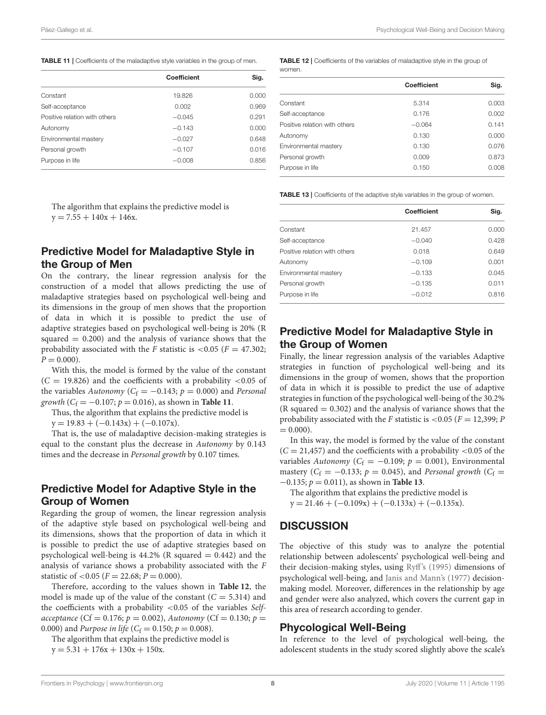<span id="page-7-0"></span>

|                               |             | Sig.  |
|-------------------------------|-------------|-------|
|                               | Coefficient |       |
| Constant                      | 19.826      | 0.000 |
| Self-acceptance               | 0.002       | 0.969 |
| Positive relation with others | $-0.045$    | 0.291 |
| Autonomy                      | $-0.143$    | 0.000 |
| Environmental mastery         | $-0.027$    | 0.648 |
| Personal growth               | $-0.107$    | 0.016 |
| Purpose in life               | $-0.008$    | 0.856 |

The algorithm that explains the predictive model is  $y = 7.55 + 140x + 146x$ .

## Predictive Model for Maladaptive Style in the Group of Men

On the contrary, the linear regression analysis for the construction of a model that allows predicting the use of maladaptive strategies based on psychological well-being and its dimensions in the group of men shows that the proportion of data in which it is possible to predict the use of adaptive strategies based on psychological well-being is 20% (R squared  $= 0.200$ ) and the analysis of variance shows that the probability associated with the F statistic is  $\lt 0.05$  (F = 47.302;  $P = 0.000$ .

With this, the model is formed by the value of the constant  $(C = 19.826)$  and the coefficients with a probability <0.05 of the variables Autonomy ( $C_f = -0.143$ ;  $p = 0.000$ ) and Personal growth  $(C_f = -0.107; p = 0.016)$ , as shown in **[Table 11](#page-7-0)**.

Thus, the algorithm that explains the predictive model is

 $y = 19.83 + (-0.143x) + (-0.107x).$ 

That is, the use of maladaptive decision-making strategies is equal to the constant plus the decrease in Autonomy by 0.143 times and the decrease in Personal growth by 0.107 times.

#### Predictive Model for Adaptive Style in the Group of Women

Regarding the group of women, the linear regression analysis of the adaptive style based on psychological well-being and its dimensions, shows that the proportion of data in which it is possible to predict the use of adaptive strategies based on psychological well-being is  $44.2\%$  (R squared  $= 0.442$ ) and the analysis of variance shows a probability associated with the F statistic of  $< 0.05$  ( $F = 22.68; P = 0.000$ ).

Therefore, according to the values shown in **[Table 12](#page-7-1)**, the model is made up of the value of the constant  $(C = 5.314)$  and the coefficients with a probability  $< 0.05$  of the variables Selfacceptance (Cf = 0.176;  $p = 0.002$ ), Autonomy (Cf = 0.130;  $p =$ 0.000) and *Purpose in life* ( $C_f = 0.150$ ;  $p = 0.008$ ).

The algorithm that explains the predictive model is  $y = 5.31 + 176x + 130x + 150x$ .

<span id="page-7-1"></span>TABLE 12 | Coefficients of the variables of maladaptive style in the group of women.

|                               | <b>Coefficient</b> | Sig.  |
|-------------------------------|--------------------|-------|
| Constant                      | 5.314              | 0.003 |
| Self-acceptance               | 0.176              | 0.002 |
| Positive relation with others | $-0.064$           | 0.141 |
| Autonomy                      | 0.130              | 0.000 |
| Environmental mastery         | 0.130              | 0.076 |
| Personal growth               | 0.009              | 0.873 |
| Purpose in life               | 0.150              | 0.008 |

<span id="page-7-2"></span>TABLE 13 | Coefficients of the adaptive style variables in the group of women.

|                               | Coefficient | Sig.  |
|-------------------------------|-------------|-------|
| Constant                      | 21.457      | 0.000 |
| Self-acceptance               | $-0.040$    | 0.428 |
| Positive relation with others | 0.018       | 0.649 |
| Autonomy                      | $-0.109$    | 0.001 |
| Environmental mastery         | $-0.133$    | 0.045 |
| Personal growth               | $-0.135$    | 0.011 |
| Purpose in life               | $-0.012$    | 0.816 |
|                               |             |       |

# Predictive Model for Maladaptive Style in the Group of Women

Finally, the linear regression analysis of the variables Adaptive strategies in function of psychological well-being and its dimensions in the group of women, shows that the proportion of data in which it is possible to predict the use of adaptive strategies in function of the psychological well-being of the 30.2%  $(R \text{ squared} = 0.302)$  and the analysis of variance shows that the probability associated with the F statistic is  $<$  0.05 (F = 12,399; P  $= 0.000$ ).

In this way, the model is formed by the value of the constant  $(C = 21,457)$  and the coefficients with a probability <0.05 of the variables Autonomy ( $C_f = -0.109$ ;  $p = 0.001$ ), Environmental mastery ( $C_f = -0.133$ ;  $p = 0.045$ ), and Personal growth ( $C_f =$ −0.135; p = 0.011), as shown in **[Table 13](#page-7-2)**.

The algorithm that explains the predictive model is

 $y = 21.46 + (-0.109x) + (-0.133x) + (-0.135x).$ 

#### **DISCUSSION**

The objective of this study was to analyze the potential relationship between adolescents' psychological well-being and their decision-making styles, using [Ryff's \(1995\)](#page-12-17) dimensions of psychological well-being, and [Janis and Mann's \(1977\)](#page-11-25) decisionmaking model. Moreover, differences in the relationship by age and gender were also analyzed, which covers the current gap in this area of research according to gender.

#### Phycological Well-Being

In reference to the level of psychological well-being, the adolescent students in the study scored slightly above the scale's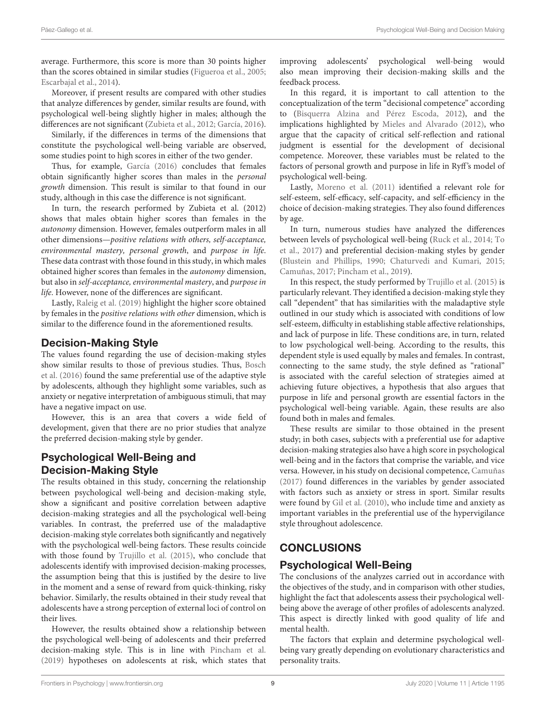average. Furthermore, this score is more than 30 points higher than the scores obtained in similar studies [\(Figueroa et al., 2005;](#page-11-17) [Escarbajal et al., 2014\)](#page-11-41).

Moreover, if present results are compared with other studies that analyze differences by gender, similar results are found, with psychological well-being slightly higher in males; although the differences are not significant [\(Zubieta et al., 2012;](#page-12-18) [García, 2016\)](#page-11-42).

Similarly, if the differences in terms of the dimensions that constitute the psychological well-being variable are observed, some studies point to high scores in either of the two gender.

Thus, for example, [García \(2016\)](#page-11-42) concludes that females obtain significantly higher scores than males in the personal growth dimension. This result is similar to that found in our study, although in this case the difference is not significant.

In turn, the research performed by Zubieta et al. (2012) shows that males obtain higher scores than females in the autonomy dimension. However, females outperform males in all other dimensions—positive relations with others, self-acceptance, environmental mastery, personal growth, and purpose in life. These data contrast with those found in this study, in which males obtained higher scores than females in the autonomy dimension, but also in self-acceptance, environmental mastery, and purpose in life. However, none of the differences are significant.

Lastly, [Raleig et al. \(2019\)](#page-11-14) highlight the higher score obtained by females in the positive relations with other dimension, which is similar to the difference found in the aforementioned results.

# Decision-Making Style

The values found regarding the use of decision-making styles show similar results to those of previous studies. Thus, Bosch et al. [\(2016\)](#page-11-20) found the same preferential use of the adaptive style by adolescents, although they highlight some variables, such as anxiety or negative interpretation of ambiguous stimuli, that may have a negative impact on use.

However, this is an area that covers a wide field of development, given that there are no prior studies that analyze the preferred decision-making style by gender.

# Psychological Well-Being and Decision-Making Style

The results obtained in this study, concerning the relationship between psychological well-being and decision-making style, show a significant and positive correlation between adaptive decision-making strategies and all the psychological well-being variables. In contrast, the preferred use of the maladaptive decision-making style correlates both significantly and negatively with the psychological well-being factors. These results coincide with those found by [Trujillo et al. \(2015\)](#page-12-19), who conclude that adolescents identify with improvised decision-making processes, the assumption being that this is justified by the desire to live in the moment and a sense of reward from quick-thinking, risky behavior. Similarly, the results obtained in their study reveal that adolescents have a strong perception of external loci of control on their lives.

However, the results obtained show a relationship between the psychological well-being of adolescents and their preferred decision-making style. This is in line with [Pincham et al.](#page-11-43) [\(2019\)](#page-11-43) hypotheses on adolescents at risk, which states that improving adolescents' psychological well-being would also mean improving their decision-making skills and the feedback process.

In this regard, it is important to call attention to the conceptualization of the term "decisional competence" according to [\(Bisquerra Alzina and Pérez Escoda, 2012\)](#page-11-22), and the implications highlighted by [Mieles and Alvarado \(2012\)](#page-11-23), who argue that the capacity of critical self-reflection and rational judgment is essential for the development of decisional competence. Moreover, these variables must be related to the factors of personal growth and purpose in life in Ryff's model of psychological well-being.

Lastly, [Moreno et al. \(2011\)](#page-11-32) identified a relevant role for self-esteem, self-efficacy, self-capacity, and self-efficiency in the choice of decision-making strategies. They also found differences by age.

In turn, numerous studies have analyzed the differences between levels of psychological well-being [\(Ruck et al., 2014;](#page-12-20) To et al., [2017\)](#page-12-21) and preferential decision-making styles by gender [\(Blustein and Phillips, 1990;](#page-11-44) [Chaturvedi and Kumari, 2015;](#page-11-45) [Camuñas, 2017;](#page-11-46) [Pincham et al., 2019\)](#page-11-43).

In this respect, the study performed by [Trujillo et al. \(2015\)](#page-12-19) is particularly relevant. They identified a decision-making style they call "dependent" that has similarities with the maladaptive style outlined in our study which is associated with conditions of low self-esteem, difficulty in establishing stable affective relationships, and lack of purpose in life. These conditions are, in turn, related to low psychological well-being. According to the results, this dependent style is used equally by males and females. In contrast, connecting to the same study, the style defined as "rational" is associated with the careful selection of strategies aimed at achieving future objectives, a hypothesis that also argues that purpose in life and personal growth are essential factors in the psychological well-being variable. Again, these results are also found both in males and females.

These results are similar to those obtained in the present study; in both cases, subjects with a preferential use for adaptive decision-making strategies also have a high score in psychological well-being and in the factors that comprise the variable, and vice versa. However, in his study on decisional competence, [Camuñas](#page-11-46) [\(2017\)](#page-11-46) found differences in the variables by gender associated with factors such as anxiety or stress in sport. Similar results were found by [Gil et al. \(2010\)](#page-11-36), who include time and anxiety as important variables in the preferential use of the hypervigilance style throughout adolescence.

# CONCLUSIONS

# Psychological Well-Being

The conclusions of the analyzes carried out in accordance with the objectives of the study, and in comparison with other studies, highlight the fact that adolescents assess their psychological wellbeing above the average of other profiles of adolescents analyzed. This aspect is directly linked with good quality of life and mental health.

The factors that explain and determine psychological wellbeing vary greatly depending on evolutionary characteristics and personality traits.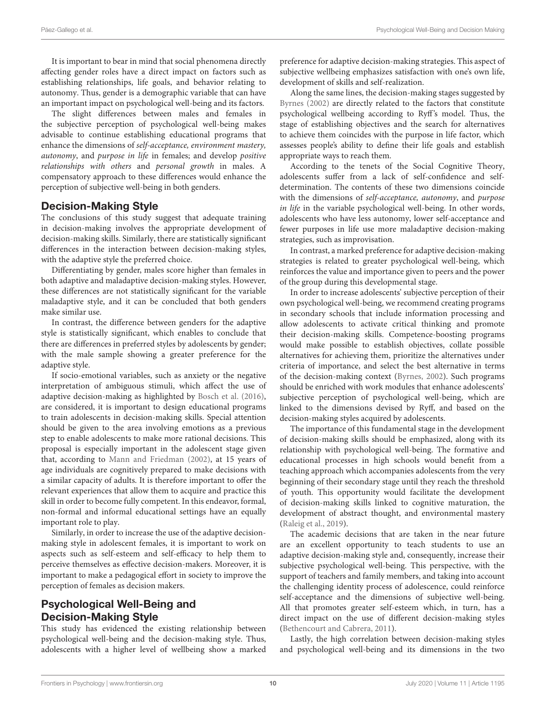It is important to bear in mind that social phenomena directly affecting gender roles have a direct impact on factors such as establishing relationships, life goals, and behavior relating to autonomy. Thus, gender is a demographic variable that can have an important impact on psychological well-being and its factors.

The slight differences between males and females in the subjective perception of psychological well-being makes advisable to continue establishing educational programs that enhance the dimensions of self-acceptance, environment mastery, autonomy, and purpose in life in females; and develop positive relationships with others and personal growth in males. A compensatory approach to these differences would enhance the perception of subjective well-being in both genders.

#### Decision-Making Style

The conclusions of this study suggest that adequate training in decision-making involves the appropriate development of decision-making skills. Similarly, there are statistically significant differences in the interaction between decision-making styles, with the adaptive style the preferred choice.

Differentiating by gender, males score higher than females in both adaptive and maladaptive decision-making styles. However, these differences are not statistically significant for the variable maladaptive style, and it can be concluded that both genders make similar use.

In contrast, the difference between genders for the adaptive style is statistically significant, which enables to conclude that there are differences in preferred styles by adolescents by gender; with the male sample showing a greater preference for the adaptive style.

If socio-emotional variables, such as anxiety or the negative interpretation of ambiguous stimuli, which affect the use of adaptive decision-making as highlighted by [Bosch et al. \(2016\)](#page-11-20), are considered, it is important to design educational programs to train adolescents in decision-making skills. Special attention should be given to the area involving emotions as a previous step to enable adolescents to make more rational decisions. This proposal is especially important in the adolescent stage given that, according to [Mann and Friedman \(2002\)](#page-11-28), at 15 years of age individuals are cognitively prepared to make decisions with a similar capacity of adults. It is therefore important to offer the relevant experiences that allow them to acquire and practice this skill in order to become fully competent. In this endeavor, formal, non-formal and informal educational settings have an equally important role to play.

Similarly, in order to increase the use of the adaptive decisionmaking style in adolescent females, it is important to work on aspects such as self-esteem and self-efficacy to help them to perceive themselves as effective decision-makers. Moreover, it is important to make a pedagogical effort in society to improve the perception of females as decision makers.

# Psychological Well-Being and Decision-Making Style

This study has evidenced the existing relationship between psychological well-being and the decision-making style. Thus, adolescents with a higher level of wellbeing show a marked preference for adaptive decision-making strategies. This aspect of subjective wellbeing emphasizes satisfaction with one's own life, development of skills and self-realization.

Along the same lines, the decision-making stages suggested by [Byrnes \(2002\)](#page-11-26) are directly related to the factors that constitute psychological wellbeing according to Ryff's model. Thus, the stage of establishing objectives and the search for alternatives to achieve them coincides with the purpose in life factor, which assesses people's ability to define their life goals and establish appropriate ways to reach them.

According to the tenets of the Social Cognitive Theory, adolescents suffer from a lack of self-confidence and selfdetermination. The contents of these two dimensions coincide with the dimensions of self-acceptance, autonomy, and purpose in life in the variable psychological well-being. In other words, adolescents who have less autonomy, lower self-acceptance and fewer purposes in life use more maladaptive decision-making strategies, such as improvisation.

In contrast, a marked preference for adaptive decision-making strategies is related to greater psychological well-being, which reinforces the value and importance given to peers and the power of the group during this developmental stage.

In order to increase adolescents' subjective perception of their own psychological well-being, we recommend creating programs in secondary schools that include information processing and allow adolescents to activate critical thinking and promote their decision-making skills. Competence-boosting programs would make possible to establish objectives, collate possible alternatives for achieving them, prioritize the alternatives under criteria of importance, and select the best alternative in terms of the decision-making context [\(Byrnes, 2002\)](#page-11-26). Such programs should be enriched with work modules that enhance adolescents' subjective perception of psychological well-being, which are linked to the dimensions devised by Ryff, and based on the decision-making styles acquired by adolescents.

The importance of this fundamental stage in the development of decision-making skills should be emphasized, along with its relationship with psychological well-being. The formative and educational processes in high schools would benefit from a teaching approach which accompanies adolescents from the very beginning of their secondary stage until they reach the threshold of youth. This opportunity would facilitate the development of decision-making skills linked to cognitive maturation, the development of abstract thought, and environmental mastery [\(Raleig et al., 2019\)](#page-11-14).

The academic decisions that are taken in the near future are an excellent opportunity to teach students to use an adaptive decision-making style and, consequently, increase their subjective psychological well-being. This perspective, with the support of teachers and family members, and taking into account the challenging identity process of adolescence, could reinforce self-acceptance and the dimensions of subjective well-being. All that promotes greater self-esteem which, in turn, has a direct impact on the use of different decision-making styles [\(Bethencourt and Cabrera, 2011\)](#page-11-29).

Lastly, the high correlation between decision-making styles and psychological well-being and its dimensions in the two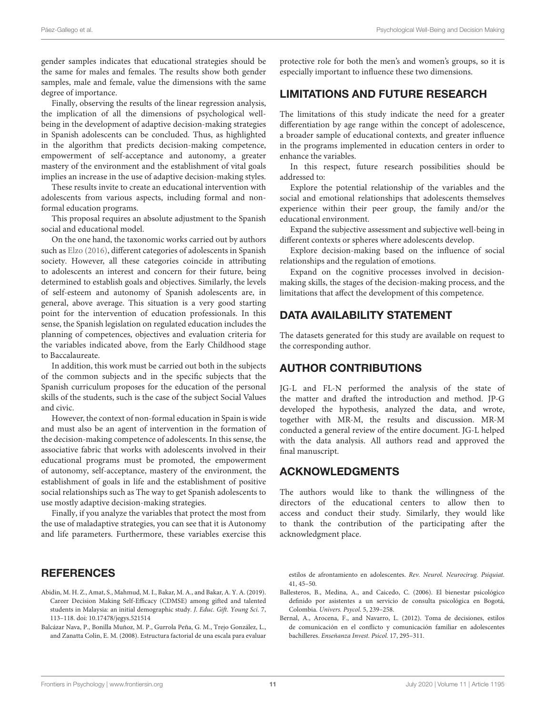gender samples indicates that educational strategies should be the same for males and females. The results show both gender samples, male and female, value the dimensions with the same degree of importance.

Finally, observing the results of the linear regression analysis, the implication of all the dimensions of psychological wellbeing in the development of adaptive decision-making strategies in Spanish adolescents can be concluded. Thus, as highlighted in the algorithm that predicts decision-making competence, empowerment of self-acceptance and autonomy, a greater mastery of the environment and the establishment of vital goals implies an increase in the use of adaptive decision-making styles.

These results invite to create an educational intervention with adolescents from various aspects, including formal and nonformal education programs.

This proposal requires an absolute adjustment to the Spanish social and educational model.

On the one hand, the taxonomic works carried out by authors such as [Elzo \(2016\)](#page-11-47), different categories of adolescents in Spanish society. However, all these categories coincide in attributing to adolescents an interest and concern for their future, being determined to establish goals and objectives. Similarly, the levels of self-esteem and autonomy of Spanish adolescents are, in general, above average. This situation is a very good starting point for the intervention of education professionals. In this sense, the Spanish legislation on regulated education includes the planning of competences, objectives and evaluation criteria for the variables indicated above, from the Early Childhood stage to Baccalaureate.

In addition, this work must be carried out both in the subjects of the common subjects and in the specific subjects that the Spanish curriculum proposes for the education of the personal skills of the students, such is the case of the subject Social Values and civic.

However, the context of non-formal education in Spain is wide and must also be an agent of intervention in the formation of the decision-making competence of adolescents. In this sense, the associative fabric that works with adolescents involved in their educational programs must be promoted, the empowerment of autonomy, self-acceptance, mastery of the environment, the establishment of goals in life and the establishment of positive social relationships such as The way to get Spanish adolescents to use mostly adaptive decision-making strategies.

Finally, if you analyze the variables that protect the most from the use of maladaptive strategies, you can see that it is Autonomy and life parameters. Furthermore, these variables exercise this

#### **REFERENCES**

- <span id="page-10-3"></span>Abidin, M. H. Z., Amat, S., Mahmud, M. I., Bakar, M. A., and Bakar, A. Y. A. (2019). Career Decision Making Self-Efficacy (CDMSE) among gifted and talented students in Malaysia: an initial demographic study. J. Educ. Gift. Young Sci. 7, 113–118. doi: [10.17478/jegys.521514](https://doi.org/10.17478/jegys.521514)
- <span id="page-10-1"></span>Balcázar Nava, P., Bonilla Muñoz, M. P., Gurrola Peña, G. M., Trejo González, L., and Zanatta Colin, E. M. (2008). Estructura factorial de una escala para evaluar

protective role for both the men's and women's groups, so it is especially important to influence these two dimensions.

#### LIMITATIONS AND FUTURE RESEARCH

The limitations of this study indicate the need for a greater differentiation by age range within the concept of adolescence, a broader sample of educational contexts, and greater influence in the programs implemented in education centers in order to enhance the variables.

In this respect, future research possibilities should be addressed to:

Explore the potential relationship of the variables and the social and emotional relationships that adolescents themselves experience within their peer group, the family and/or the educational environment.

Expand the subjective assessment and subjective well-being in different contexts or spheres where adolescents develop.

Explore decision-making based on the influence of social relationships and the regulation of emotions.

Expand on the cognitive processes involved in decisionmaking skills, the stages of the decision-making process, and the limitations that affect the development of this competence.

#### DATA AVAILABILITY STATEMENT

The datasets generated for this study are available on request to the corresponding author.

#### AUTHOR CONTRIBUTIONS

JG-L and FL-N performed the analysis of the state of the matter and drafted the introduction and method. JP-G developed the hypothesis, analyzed the data, and wrote, together with MR-M, the results and discussion. MR-M conducted a general review of the entire document. JG-L helped with the data analysis. All authors read and approved the final manuscript.

#### ACKNOWLEDGMENTS

The authors would like to thank the willingness of the directors of the educational centers to allow then to access and conduct their study. Similarly, they would like to thank the contribution of the participating after the acknowledgment place.

estilos de afrontamiento en adolescentes. Rev. Neurol. Neurocirug. Psiquiat. 41, 45–50.

- <span id="page-10-0"></span>Ballesteros, B., Medina, A., and Caicedo, C. (2006). El bienestar psicológico definido por asistentes a un servicio de consulta psicológica en Bogotá, Colombia. Univers. Psycol. 5, 239–258.
- <span id="page-10-2"></span>Bernal, A., Arocena, F., and Navarro, L. (2012). Toma de decisiones, estilos de comunicación en el conflicto y comunicación familiar en adolescentes bachilleres. Enseñanza Invest. Psicol. 17, 295–311.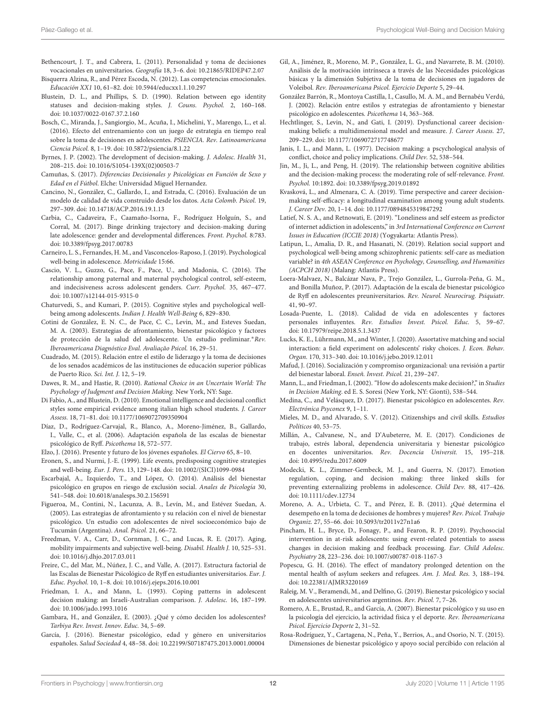- <span id="page-11-29"></span>Bethencourt, J. T., and Cabrera, L. (2011). Personalidad y toma de decisiones vocacionales en universitarios. Geografía 18, 3–6. doi: [10.21865/RIDEP47.2.07](https://doi.org/10.21865/RIDEP47.2.07)
- <span id="page-11-22"></span>Bisquerra Alzina, R., and Pérez Escoda, N. (2012). Las competencias emocionales. Educación XX1 10, 61–82. doi: [10.5944/educxx1.1.10.297](https://doi.org/10.5944/educxx1.1.10.297)
- <span id="page-11-44"></span>Blustein, D. L., and Phillips, S. D. (1990). Relation between ego identity statuses and decision-making styles. J. Couns. Psychol. 2, 160–168. doi: [10.1037/0022-0167.37.2.160](https://doi.org/10.1037/0022-0167.37.2.160)
- <span id="page-11-20"></span>Bosch, C., Miranda, J., Sangiorgio, M., Acuña, I., Michelini, Y., Marengo, L., et al. (2016). Efecto del entrenamiento con un juego de estrategia en tiempo real sobre la toma de decisiones en adolescentes. PSIENCIA. Rev. Latinoamericana Ciencia Psicol. 8, 1–19. doi: [10.5872/psiencia/8.1.22](https://doi.org/10.5872/psiencia/8.1.22)
- <span id="page-11-26"></span>Byrnes, J. P. (2002). The development of decision-making. J. Adolesc. Health 31, 208–215. doi: [10.1016/S1054-139X\(02\)00503-7](https://doi.org/10.1016/S1054-139X(02)00503-7)
- <span id="page-11-46"></span>Camuñas, S. (2017). Diferencias Decisionales y Psicológicas en Función de Sexo y Edad en el Fútbol. Elche: Universidad Miguel Hernandez.
- <span id="page-11-6"></span>Cancino, N., González, C., Gallardo, I., and Estrada, C. (2016). Evaluación de un modelo de calidad de vida construido desde los datos. Acta Colomb. Psicol. 19, 297–309. doi: [10.14718/ACP.2016.19.1.13](https://doi.org/10.14718/ACP.2016.19.1.13)
- <span id="page-11-33"></span>Carbia, C., Cadaveira, F., Caamaño-Isorna, F., Rodríguez Holguín, S., and Corral, M. (2017). Binge drinking trajectory and decision-making during late adolescence: gender and developmental differences. Front. Psychol. 8:783. doi: [10.3389/fpsyg.2017.00783](https://doi.org/10.3389/fpsyg.2017.00783)
- <span id="page-11-2"></span>Carneiro, L. S., Fernandes, H. M., and Vasconcelos-Raposo, J. (2019). Psychological well-being in adolescence. Motricidade 15:66.
- <span id="page-11-31"></span>Cascio, V. L., Guzzo, G., Pace, F., Pace, U., and Madonia, C. (2016). The relationship among paternal and maternal psychological control, self-esteem, and indecisiveness across adolescent genders. Curr. Psychol. 35, 467–477. doi: [10.1007/s12144-015-9315-0](https://doi.org/10.1007/s12144-015-9315-0)
- <span id="page-11-45"></span>Chaturvedi, S., and Kumari, P. (2015). Cognitive styles and psychological wellbeing among adolescents. Indian J. Health Well-Being 6, 829–830.
- <span id="page-11-16"></span>Cotini de González, E. N. C., de Pace, C. C., Levin, M., and Esteves Suedan, M. A. (2003). Estrategias de afrontamiento, bienestar psicológico y factores de protección de la salud del adolescente. Un estudio preliminar. \* Rev. Iberoamericana Diagnóstico Eval. Avaliação Psicol. 16, 29–51.
- <span id="page-11-24"></span>Cuadrado, M. (2015). Relación entre el estilo de liderazgo y la toma de decisiones de los senados académicos de las instituciones de educación superior públicas de Puerto Rico. Sci. Int. J. 12, 5–19.
- <span id="page-11-40"></span>Dawes, R. M., and Hastie, R. (2010). Rational Choice in an Uncertain World: The Psychology of Judgment and Decision Making. New York, NY: Sage.
- <span id="page-11-30"></span>Di Fabio, A., and Blustein, D. (2010). Emotional intelligence and decisional conflict styles some empirical evidence among italian high school students. J. Career Assess. 18, 71–81. doi: [10.1177/1069072709350904](https://doi.org/10.1177/1069072709350904)
- <span id="page-11-15"></span>Díaz, D., Rodríguez-Carvajal, R., Blanco, A., Moreno-Jiménez, B., Gallardo, I., Valle, C., et al. (2006). Adaptación española de las escalas de bienestar psicológico de Ryff. Psicothema 18, 572–577.
- <span id="page-11-47"></span>Elzo, J. (2016). Presente y futuro de los jóvenes españoles. El Ciervo 65, 8–10.
- <span id="page-11-3"></span>Eronen, S., and Nurmi, J.-E. (1999). Life events, predisposing cognitive strategies and well-being. Eur. J. Pers. 13, 129–148. doi: [10.1002/\(SICI\)1099-0984](https://doi.org/10.1002/(SICI)1099-0984)
- <span id="page-11-41"></span>Escarbajal, A., Izquierdo, T., and López, O. (2014). Análisis del bienestar psicológico en grupos en riesgo de exclusión social. Anales de Psicología 30, 541–548. doi: [10.6018/analesps.30.2.156591](https://doi.org/10.6018/analesps.30.2.156591)
- <span id="page-11-17"></span>Figueroa, M., Contini, N., Lacunza, A. B., Levín, M., and Estévez Suedan, A. (2005). Las estrategias de afrontamiento y su relación con el nivel de bienestar psicológico. Un estudio con adolescentes de nivel socioeconómico bajo de Tucumán (Argentina). Anal. Psicol. 21, 66–72.
- <span id="page-11-13"></span>Freedman, V. A., Carr, D., Cornman, J. C., and Lucas, R. E. (2017). Aging, mobility impairments and subjective well-being. Disabil. Health J. 10, 525–531. doi: [10.1016/j.dhjo.2017.03.011](https://doi.org/10.1016/j.dhjo.2017.03.011)
- <span id="page-11-1"></span>Freire, C., del Mar, M., Núñez, J. C., and Valle, A. (2017). Estructura factorial de las Escalas de Bienestar Psicológico de Ryff en estudiantes universitarios. Eur. J. Educ. Psychol. 10, 1–8. doi: [10.1016/j.ejeps.2016.10.001](https://doi.org/10.1016/j.ejeps.2016.10.001)
- <span id="page-11-39"></span>Friedman, I. A., and Mann, L. (1993). Coping patterns in adolescent decision making: an Israeli-Australian comparison. J. Adolesc. 16, 187–199. doi: [10.1006/jado.1993.1016](https://doi.org/10.1006/jado.1993.1016)
- <span id="page-11-27"></span>Gambara, H., and González, E. (2003). ¿Qué y cómo deciden los adolescentes? Tarbiya Rev. Invest. Innov. Educ. 34, 5–69.
- <span id="page-11-42"></span>García, J. (2016). Bienestar psicológico, edad y género en universitarios españoles. Salud Sociedad 4, 48–58. doi: [10.22199/S07187475.2013.0001.00004](https://doi.org/10.22199/S07187475.2013.0001.00004)
- <span id="page-11-36"></span>Gil, A., Jiménez, R., Moreno, M. P., González, L. G., and Navarrete, B. M. (2010). Análisis de la motivación intrínseca a través de las Necesidades psicológicas básicas y la dimensión Subjetiva de la toma de decisiones en jugadores de Voleibol. Rev. Iberoamericana Psicol. Ejercicio Deporte 5, 29–44.
- <span id="page-11-0"></span>González Barrón, R., Montoya Castilla, I., Casullo, M. A. M., and Bernabéu Verdú, J. (2002). Relación entre estilos y estrategias de afrontamiento y bienestar psicológico en adolescentes. Psicothema 14, 363–368.
- <span id="page-11-34"></span>Hechtlinger, S., Levin, N., and Gati, I. (2019). Dysfunctional career decisionmaking beliefs: a multidimensional model and measure. J. Career Assess. 27, 209–229. doi: [10.1177/1069072717748677](https://doi.org/10.1177/1069072717748677)
- <span id="page-11-25"></span>Janis, I. L., and Mann, L. (1977). Decision making: a pscychological analysis of conflict, choice and policy implications. Child Dev. 52, 538–544.
- <span id="page-11-37"></span>Jin, M., Ji, L., and Peng, H. (2019). The relationship between cognitive abilities and the decision-making process: the moderating role of self-relevance. Front. Psychol. 10:1892. doi: [10.3389/fpsyg.2019.01892](https://doi.org/10.3389/fpsyg.2019.01892)
- <span id="page-11-35"></span>Kvasková, L., and Almenara, C. A. (2019). Time perspective and career decisionmaking self-efficacy: a longitudinal examination among young adult students. J. Career Dev. 20, 1–14. doi: [10.1177/0894845319847292](https://doi.org/10.1177/0894845319847292)
- <span id="page-11-8"></span>Latief, N. S. A., and Retnowati, E. (2019). "Loneliness and self esteem as predictor of internet addiction in adolescents," in 3rd International Conference on Current Issues in Education (ICCIE 2018) (Yogyakarta: Atlantis Press).
- <span id="page-11-10"></span>Latipun, L., Amalia, D. R., and Hasanati, N. (2019). Relation social support and psychological well-being among schizophrenic patients: self-care as mediation variable? in 4th ASEAN Conference on Psychology, Counselling, and Humanities (ACPCH 2018) (Malang: Atlantis Press).
- <span id="page-11-5"></span>Loera-Malvaez, N., Balcázar Nava, P., Trejo González, L., Gurrola-Peña, G. M., and Bonilla Muñoz, P. (2017). Adaptación de la escala de bienestar psicológico de Ryff en adolescentes preuniversitarios. Rev. Neurol. Neurocirug. Psiquiatr. 41, 90–97.
- <span id="page-11-7"></span>Losada-Puente, L. (2018). Calidad de vida en adolescentes y factores personales influyentes. Rev. Estudios Invest. Psicol. Educ. 5, 59–67. doi: [10.17979/reipe.2018.5.1.3437](https://doi.org/10.17979/reipe.2018.5.1.3437)
- <span id="page-11-38"></span>Lucks, K. E., Lührmann, M., and Winter, J. (2020). Assortative matching and social interaction: a field experiment on adolescents' risky choices. J. Econ. Behav. Organ. 170, 313–340. doi: [10.1016/j.jebo.2019.12.011](https://doi.org/10.1016/j.jebo.2019.12.011)
- <span id="page-11-11"></span>Mafud, J. (2016). Socialización y compromiso organizacional: una revisión a partir del bienestar laboral. Enseñ. Invest. Psicol. 21, 239–247.
- <span id="page-11-28"></span>Mann, L., and Friedman, I. (2002)."How do adolescents make decision?," in Studies in Decision Making. ed E. S. Soresi (New York, NY: Gionti), 538–544.
- <span id="page-11-19"></span>Medina, C., and Velásquez, D. (2017). Bienestar psicológico en adolescentes. Rev. Electrónica Psyconex 9, 1–11.
- <span id="page-11-23"></span>Mieles, M. D., and Alvarado, S. V. (2012). Citizenships and civil skills. Estudios Políticos 40, 53–75.
- <span id="page-11-12"></span>Millán, A., Calvanese, N., and D'Aubeterre, M. E. (2017). Condiciones de trabajo, estrés laboral, dependencia universitaria y bienestar psicológico en docentes universitarios. Rev. Docencia Universit. 15, 195–218. doi: [10.4995/redu.2017.6009](https://doi.org/10.4995/redu.2017.6009)
- <span id="page-11-21"></span>Modecki, K. L., Zimmer-Gembeck, M. J., and Guerra, N. (2017). Emotion regulation, coping, and decision making: three linked skills for preventing externalizing problems in adolescence. Child Dev. 88, 417–426. doi: [10.1111/cdev.12734](https://doi.org/10.1111/cdev.12734)
- <span id="page-11-32"></span>Moreno, A. A., Urbieta, C. T., and Pérez, E. B. (2011). ¿Qué determina el desempeño en la toma de decisiones de hombres y mujeres? Rev. Psicol. Trabajo Organiz. 27, 55–66. doi: [10.5093/tr2011v27n1a6](https://doi.org/10.5093/tr2011v27n1a6)
- <span id="page-11-43"></span>Pincham, H. L., Bryce, D., Fonagy, P., and Fearon, R. P. (2019). Psychosocial intervention in at-risk adolescents: using event-related potentials to assess changes in decision making and feedback processing. Eur. Child Adolesc. Psychiatry 28, 223–236. doi: [10.1007/s00787-018-1167-3](https://doi.org/10.1007/s00787-018-1167-3)
- <span id="page-11-4"></span>Popescu, G. H. (2016). The effect of mandatory prolonged detention on the mental health of asylum seekers and refugees. Am. J. Med. Res. 3, 188–194. doi: [10.22381/AJMR3220169](https://doi.org/10.22381/AJMR3220169)
- <span id="page-11-14"></span>Raleig, M. V., Beramendi, M., and Delfino, G. (2019). Bienestar psicológico y social en adolescentes universitarios argentinos. Rev. Psicol. 7, 7–26.
- <span id="page-11-18"></span>Romero, A. E., Brustad, R., and García, A. (2007). Bienestar psicológico y su uso en la psicología del ejercicio, la actividad física y el deporte. Rev. Iberoamericana Psicol. Ejercicio Deporte 2, 31–52.
- <span id="page-11-9"></span>Rosa-Rodríguez, Y., Cartagena, N., Peña, Y., Berrios, A., and Osorio, N. T. (2015). Dimensiones de bienestar psicológico y apoyo social percibido con relación al